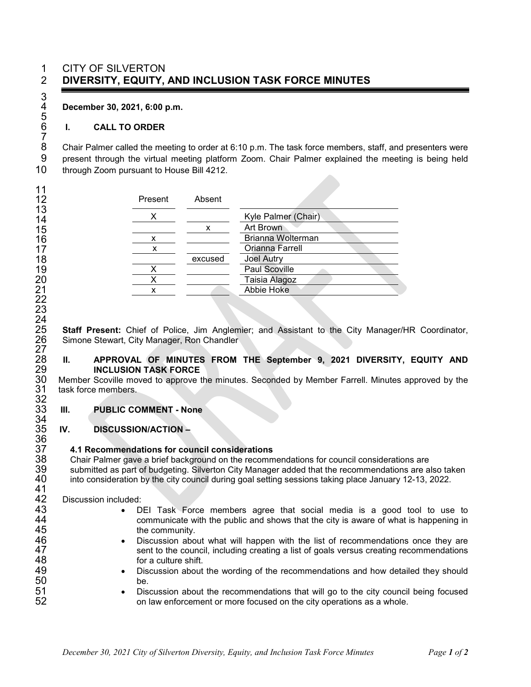### CITY OF SILVERTON **DIVERSITY, EQUITY, AND INCLUSION TASK FORCE MINUTES**

**December 30, 2021, 6:00 p.m.**

#### **I. CALL TO ORDER**

8 Chair Palmer called the meeting to order at 6:10 p.m. The task force members, staff, and presenters were<br>9 present through the virtual meeting platform Zoom. Chair Palmer explained the meeting is being held present through the virtual meeting platform Zoom. Chair Palmer explained the meeting is being held through Zoom pursuant to House Bill 4212.

| Present | Absent  |                     |
|---------|---------|---------------------|
|         |         | Kyle Palmer (Chair) |
|         | х       | Art Brown           |
| x       |         | Brianna Wolterman   |
| х       |         | Orianna Farrell     |
|         | excused | <b>Joel Autry</b>   |
|         |         | Paul Scoville       |
|         |         | Taisia Alagoz       |
|         |         | Abbie Hoke          |

 **Staff Present:** Chief of Police, Jim Anglemier; and Assistant to the City Manager/HR Coordinator, Simone Stewart, City Manager, Ron Chandler

## **II. APPROVAL OF MINUTES FROM THE September 9, 2021 DIVERSITY, EQUITY AND INCLUSION TASK FORCE**

 Member Scoville moved to approve the minutes. Seconded by Member Farrell. Minutes approved by the task force members.

#### **III. PUBLIC COMMENT - None**

#### **IV. DISCUSSION/ACTION –**

# **4.1 Recommendations for council considerations**

 Chair Palmer gave a brief background on the recommendations for council considerations are submitted as part of budgeting. Silverton City Manager added that the recommendations are also taken into consideration by the city council during goal setting sessions taking place January 12-13, 2022.

Discussion included:

- DEI Task Force members agree that social media is a good tool to use to 44 communicate with the public and shows that the city is aware of what is happening in 45 the community.
- Discussion about what will happen with the list of recommendations once they are 47 sent to the council, including creating a list of goals versus creating recommendations 48 serves for a culture shift. for a culture shift.
- Discussion about the wording of the recommendations and how detailed they should be.
- Discussion about the recommendations that will go to the city council being focused on law enforcement or more focused on the city operations as a whole.